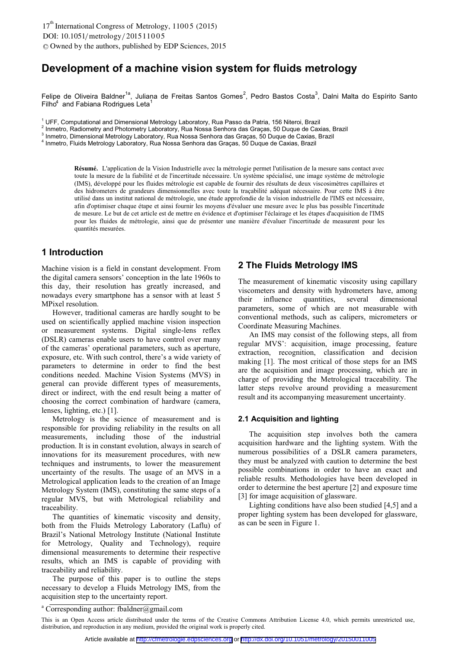# **Development of a machine vision system for fluids metrology**

Felipe de Oliveira Baldner<sup>1a</sup>, Juliana de Freitas Santos Gomes<sup>2</sup>, Pedro Bastos Costa<sup>3</sup>, Dalni Malta do Espírito Santo  $Filho<sup>4</sup>$  and Fabiana Rodrigues Leta<sup>1</sup>

<sup>1</sup> UFF, Computational and Dimensional Metrology Laboratory, Rua Passo da Patria, 156 Niteroi, Brazil<br><sup>2</sup> Iametro, Redismetry and Photometry Laboratory, Rua Nossa Sephera das Cresse. 50 Dugue de Cavi

2 Inmetro, Radiometry and Photometry Laboratory, Rua Nossa Senhora das Graças, 50 Duque de Caxias, Brazil

Inmetro, Dimensional Metrology Laboratory, Rua Nossa Senhora das Graças, 50 Duque de Caxias, Brazil

Inmetro, Fluids Metrology Laboratory, Rua Nossa Senhora das Graças, 50 Duque de Caxias, Brazil

Résumé. L'application de la Vision Industrielle avec la métrologie permet l'utilisation de la mesure sans contact avec toute la mesure de la fiabilité et de l'incertitude nécessaire. Un système spécialisé, une image système de métrologie (IMS), développé pour les fluides métrologie est capable de fournir des résultats de deux viscosimètres capillaires et des hidrometers de grandeurs dimensionnelles avec toute la traçabilité adéquat nécessaire. Pour cette IMS à être utilisé dans un institut national de métrologie, une étude approfondie de la vision industrielle de l'IMS est nécessaire, afin d'optimiser chaque étape et ainsi fournir les moyens d'évaluer une mesure avec le plus bas possible l'incertitude de mesure. Le but de cet article est de mettre en évidence et d'optimiser l'éclairage et les étapes d'acquisition de l'IMS pour les fluides de métrologie, ainsi que de présenter une manière d'évaluer l'incertitude de measurent pour les quantités mesurées.

## **1 Introduction**

Machine vision is a field in constant development. From the digital camera sensors' conception in the late 1960s to this day, their resolution has greatly increased, and nowadays every smartphone has a sensor with at least 5 MPixel resolution.

However, traditional cameras are hardly sought to be used on scientifically applied machine vision inspection or measurement systems. Digital single-lens reflex (DSLR) cameras enable users to have control over many of the cameras' operational parameters, such as aperture, exposure, etc. With such control, there's a wide variety of parameters to determine in order to find the best conditions needed. Machine Vision Systems (MVS) in general can provide different types of measurements, direct or indirect, with the end result being a matter of choosing the correct combination of hardware (camera, lenses, lighting, etc.) [1].

Metrology is the science of measurement and is responsible for providing reliability in the results on all measurements, including those of the industrial production. It is in constant evolution, always in search of innovations for its measurement procedures, with new techniques and instruments, to lower the measurement uncertainty of the results. The usage of an MVS in a Metrological application leads to the creation of an Image Metrology System (IMS), constituting the same steps of a regular MVS, but with Metrological reliability and traceability.

The quantities of kinematic viscosity and density, both from the Fluids Metrology Laboratory (Laflu) of Brazil's National Metrology Institute (National Institute for Metrology, Quality and Technology), require dimensional measurements to determine their respective results, which an IMS is capable of providing with traceability and reliability.

The purpose of this paper is to outline the steps necessary to develop a Fluids Metrology IMS, from the acquisition step to the uncertainty report.

## **2 The Fluids Metrology IMS**

The measurement of kinematic viscosity using capillary viscometers and density with hydrometers have, among<br>their influence quantities, several dimensional their influence quantities, several dimensional parameters, some of which are not measurable with conventional methods, such as calipers, micrometers or Coordinate Measuring Machines.

 An IMS may consist of the following steps, all from regular MVS': acquisition, image processing, feature extraction, recognition, classification and decision making [1]. The most critical of those steps for an IMS are the acquisition and image processing, which are in charge of providing the Metrological traceability. The latter steps revolve around providing a measurement result and its accompanying measurement uncertainty.

#### **2.1 Acquisition and lighting**

 The acquisition step involves both the camera acquisition hardware and the lighting system. With the numerous possibilities of a DSLR camera parameters, they must be analyzed with caution to determine the best possible combinations in order to have an exact and reliable results. Methodologies have been developed in order to determine the best aperture [2] and exposure time [3] for image acquisition of glassware.

 Lighting conditions have also been studied [4,5] and a proper lighting system has been developed for glassware, as can be seen in Figure 1.

a Corresponding author: fbaldner@gmail.com

This is an Open Access article distributed under the terms of the Creative Commons Attribution License 4.0, which permits unrestricted use, distribution, and reproduction in any medium, provided the original work is properly cited.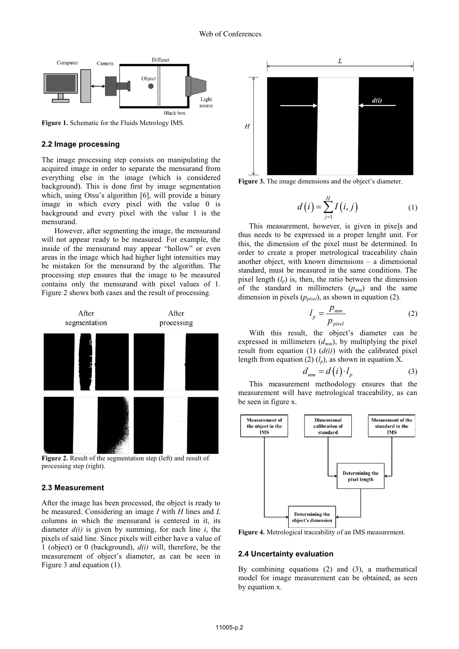

**Figure 1.** Schematic for the Fluids Metrology IMS.

#### **2.2 Image processing**

The image processing step consists on manipulating the acquired image in order to separate the mensurand from everything else in the image (which is considered background). This is done first by image segmentation which, using Otsu's algorithm [6], will provide a binary image in which every pixel with the value 0 is background and every pixel with the value 1 is the mensurand.

 However, after segmenting the image, the mensurand will not appear ready to be measured. For example, the inside of the mensurand may appear "hollow" or even areas in the image which had higher light intensities may be mistaken for the mensurand by the algorithm. The processing step ensures that the image to be measured contains only the mensurand with pixel values of 1. Figure 2 shows both cases and the result of processing.



**Figure 2.** Result of the segmentation step (left) and result of processing step (right).

### **2.3 Measurement**

After the image has been processed, the object is ready to be measured. Considering an image *I* with *H* lines and *L* columns in which the mensurand is centered in it, its diameter *d(i)* is given by summing, for each line *i*, the pixels of said line. Since pixels will either have a value of 1 (object) or 0 (background), *d(i)* will, therefore, be the measurement of object's diameter, as can be seen in Figure 3 and equation (1).



**Figure 3.** The image dimensions and the object's diameter.

$$
d(i) = \sum_{j=1}^{H} I(i, j)
$$
 (1)

This measurement, however, is given in pixels and thus needs to be expressed in a proper lenght unit. For this, the dimension of the pixel must be determined. In order to create a proper metrological traceability chain another object, with known dimensions – a dimensional standard, must be measured in the same conditions. The pixel length  $(l_p)$  is, then, the ratio between the dimension of the standard in millimeters  $(p_{mm})$  and the same dimension in pixels  $(p_{pixel})$ , as shown in equation (2).

$$
l_p = \frac{p_{mm}}{p_{pixel}}
$$
 (2)

With this result, the object's diameter can be expressed in millimeters (*dmm*), by multiplying the pixel result from equation (1) (*d(i)*) with the calibrated pixel length from equation (2)  $(l_p)$ , as shown in equation X.

$$
d_{mm} = d(i) \cdot l_p \tag{3}
$$

This measurement methodology ensures that the measurement will have metrological traceability, as can be seen in figure x.



**Figure 4.** Metrological traceability of an IMS measurement.

#### **2.4 Uncertainty evaluation**

By combining equations (2) and (3), a mathematical model for image measurement can be obtained, as seen by equation x.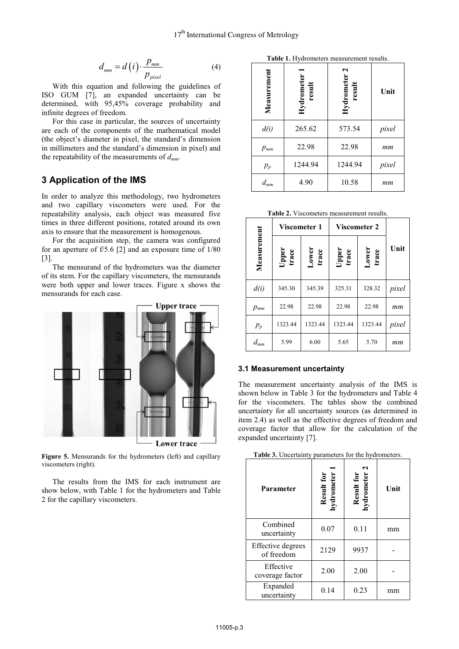$$
d_{mm} = d(i) \cdot \frac{p_{mm}}{p_{pixel}}
$$
 (4)

 With this equation and following the guidelines of ISO GUM [7], an expanded uncertainty can be determined, with 95,45% coverage probability and infinite degrees of freedom.

 For this case in particular, the sources of uncertainty are each of the components of the mathematical model (the object's diameter in pixel, the standard's dimension in millimeters and the standard's dimension in pixel) and the repeatability of the measurements of *dmm*.

# **3 Application of the IMS**

In order to analyze this methodology, two hydrometers and two capillary viscometers were used. For the repeatability analysis, each object was measured five times in three different positions, rotated around its own axis to ensure that the measurement is homogenous.

 For the acquisition step, the camera was configured for an aperture of f/5.6 [2] and an exposure time of 1/80 [3].

 The mensurand of the hydrometers was the diameter of its stem. For the capillary viscometers, the mensurands were both upper and lower traces. Figure x shows the mensurands for each case.



**Figure 5.** Mensurands for the hydrometers (left) and capillary viscometers (right).

 The results from the IMS for each instrument are show below, with Table 1 for the hydrometers and Table 2 for the capillary viscometers.

**Table 1.** Hydrometers measurement results.

| Measurement | Hydrometer<br>result | 2<br>Hydrometer<br>result | Unit  |  |
|-------------|----------------------|---------------------------|-------|--|
| d(i)        | 265.62               | 573.54                    | pixel |  |
| $p_{mm}$    | 22.98                | 22.98                     | mm    |  |
| $p_p$       | 1244.94              | 1244.94                   | pixel |  |
| $d_{mm}$    | 4.90                 | 10.58                     | mm    |  |

**Table 2.** Viscometers measurement results.

|             | Viscometer 1   |                | <b>Viscometer 2</b> |                |       |
|-------------|----------------|----------------|---------------------|----------------|-------|
| Measurement | Upper<br>trace | Lower<br>trace | Upper<br>trace      | Lower<br>trace | Unit  |
| d(i)        | 345.30         | 345.39         | 325.31              | 328.32         | pixel |
| $p_{mm}$    | 22.98          | 22.98          | 22.98               | 22.98          | mm    |
| $p_p$       | 1323.44        | 1323.44        | 1323.44             | 1323.44        | pixel |
| $d_{mm}$    | 5.99           | 6.00           | 5.65                | 5.70           | mm    |

### **3.1 Measurement uncertainty**

The measurement uncertainty analysis of the IMS is shown below in Table 3 for the hydrometers and Table 4 for the viscometers. The tables show the combined uncertainty for all uncertainty sources (as determined in item 2.4) as well as the effective degrees of freedom and coverage factor that allow for the calculation of the expanded uncertainty [7].

|  | Table 3. Uncertainty parameters for the hydrometers. |
|--|------------------------------------------------------|
|--|------------------------------------------------------|

| <b>Parameter</b>                | Result for<br>hydrometer | Result for<br>hydrometer 2 | Unit |
|---------------------------------|--------------------------|----------------------------|------|
| Combined<br>uncertainty         | 0.07                     | 0.11                       | mm   |
| Effective degrees<br>of freedom | 2129                     | 9937                       |      |
| Effective<br>coverage factor    | 2.00                     | 2.00                       |      |
| Expanded<br>uncertainty         | 0.14                     | 0.23                       | mm   |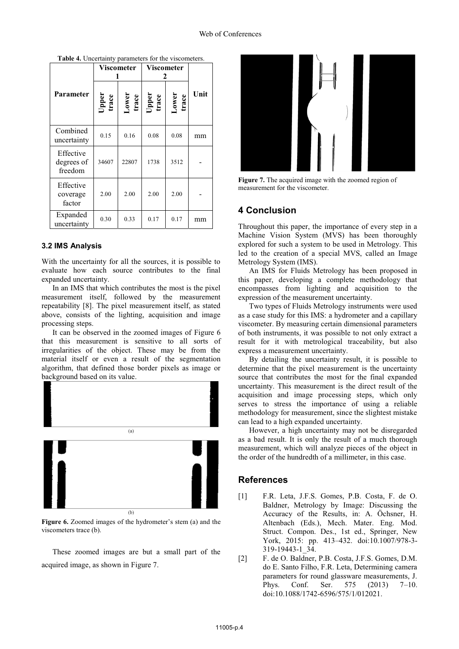|                                    | Viscometer     |                  | Viscometer            |                |      |
|------------------------------------|----------------|------------------|-----------------------|----------------|------|
| <b>Parameter</b>                   | Upper<br>trace | $Lower$<br>trace | <b>Upper</b><br>trace | Lower<br>trace | Unit |
| Combined<br>uncertainty            | 0.15           | 0.16             | 0.08                  | 0.08           | mm   |
| Effective<br>degrees of<br>freedom | 34607          | 22807            | 1738                  | 3512           |      |
| Effective<br>coverage<br>factor    | 2.00           | 2.00             | 2.00                  | 2.00           |      |
| Expanded<br>uncertainty            | 0.30           | 0.33             | 0.17                  | 0.17           | mm   |

**Table 4.** Uncertainty parameters for the viscometers.

### **3.2 IMS Analysis**

With the uncertainty for all the sources, it is possible to evaluate how each source contributes to the final expanded uncertainty.

 In an IMS that which contributes the most is the pixel measurement itself, followed by the measurement repeatability [8]. The pixel measurement itself, as stated above, consists of the lighting, acquisition and image processing steps.

 It can be observed in the zoomed images of Figure 6 that this measurement is sensitive to all sorts of irregularities of the object. These may be from the material itself or even a result of the segmentation algorithm, that defined those border pixels as image or background based on its value.



**Figure 6.** Zoomed images of the hydrometer's stem (a) and the viscometers trace (b).

These zoomed images are but a small part of the acquired image, as shown in Figure 7.



**Figure 7.** The acquired image with the zoomed region of measurement for the viscometer.

# **4 Conclusion**

Throughout this paper, the importance of every step in a Machine Vision System (MVS) has been thoroughly explored for such a system to be used in Metrology. This led to the creation of a special MVS, called an Image Metrology System (IMS).

 An IMS for Fluids Metrology has been proposed in this paper, developing a complete methodology that encompasses from lighting and acquisition to the expression of the measurement uncertainty.

 Two types of Fluids Metrology instruments were used as a case study for this IMS: a hydrometer and a capillary viscometer. By measuring certain dimensional parameters of both instruments, it was possible to not only extract a result for it with metrological traceability, but also express a measurement uncertainty.

 By detailing the uncertainty result, it is possible to determine that the pixel measurement is the uncertainty source that contributes the most for the final expanded uncertainty. This measurement is the direct result of the acquisition and image processing steps, which only serves to stress the importance of using a reliable methodology for measurement, since the slightest mistake can lead to a high expanded uncertainty.

 However, a high uncertainty may not be disregarded as a bad result. It is only the result of a much thorough measurement, which will analyze pieces of the object in the order of the hundredth of a millimeter, in this case.

### **References**

- [1] F.R. Leta, J.F.S. Gomes, P.B. Costa, F. de O. Baldner, Metrology by Image: Discussing the Accuracy of the Results, in: A. Öchsner, H. Altenbach (Eds.), Mech. Mater. Eng. Mod. Struct. Compon. Des., 1st ed., Springer, New York, 2015: pp. 413–432. doi:10.1007/978-3- 319-19443-1\_34.
- [2] F. de O. Baldner, P.B. Costa, J.F.S. Gomes, D.M. do E. Santo Filho, F.R. Leta, Determining camera parameters for round glassware measurements, J. Phys. Conf. Ser. 575 (2013) 7–10. doi:10.1088/1742-6596/575/1/012021.